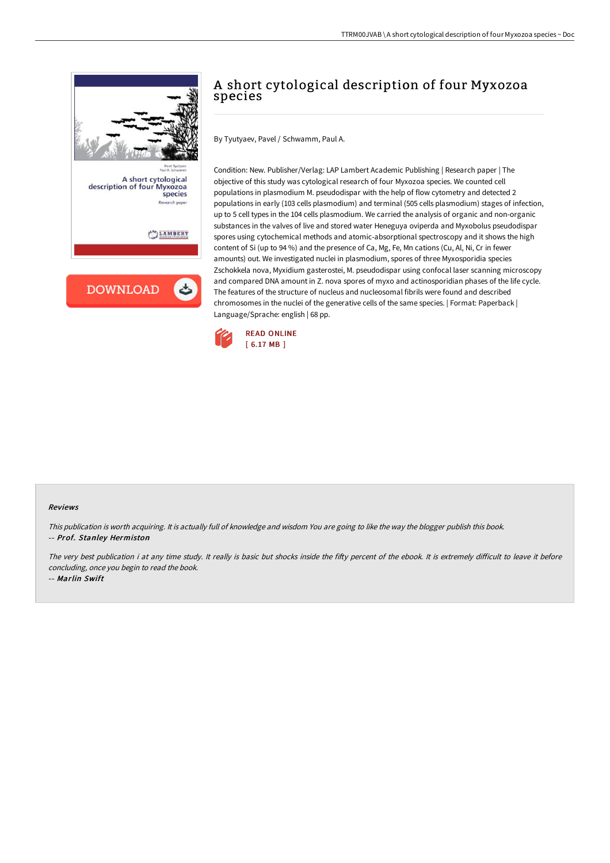

## A short cytological description of four Myxozoa species

By Tyutyaev, Pavel / Schwamm, Paul A.

Condition: New. Publisher/Verlag: LAP Lambert Academic Publishing | Research paper | The objective of this study was cytological research of four Myxozoa species. We counted cell populations in plasmodium M. pseudodispar with the help of flow cytometry and detected 2 populations in early (103 cells plasmodium) and terminal (505 cells plasmodium) stages of infection, up to 5 cell types in the 104 cells plasmodium. We carried the analysis of organic and non-organic substances in the valves of live and stored water Heneguya oviperda and Myxobolus pseudodispar spores using cytochemical methods and atomic-absorptional spectroscopy and it shows the high content of Si (up to 94 %) and the presence of Ca, Mg, Fe, Mn cations (Cu, Al, Ni, Cr in fewer amounts) out. We investigated nuclei in plasmodium, spores of three Myxosporidia species Zschokkela nova, Myxidium gasterostei, M. pseudodispar using confocal laser scanning microscopy and compared DNA amount in Z. nova spores of myxo and actinosporidian phases of the life cycle. The features of the structure of nucleus and nucleosomal fibrils were found and described chromosomes in the nuclei of the generative cells of the same species. | Format: Paperback | Language/Sprache: english | 68 pp.



## Reviews

This publication is worth acquiring. It is actually full of knowledge and wisdom You are going to like the way the blogger publish this book. -- Prof. Stanley Hermiston

The very best publication i at any time study. It really is basic but shocks inside the fifty percent of the ebook. It is extremely difficult to leave it before concluding, once you begin to read the book.

-- Marlin Swift